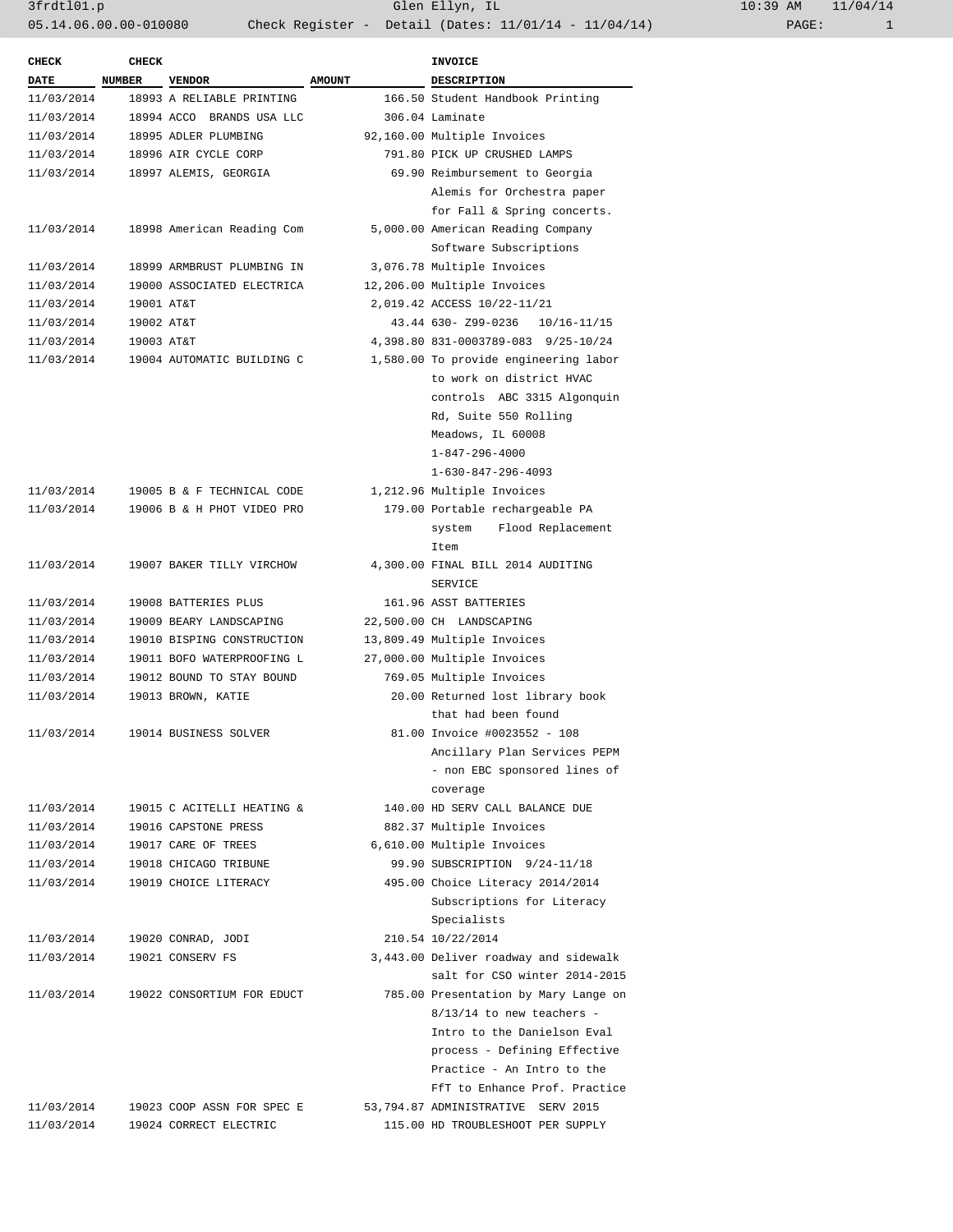| <b>CHECK</b> | <b>CHECK</b>  |                            |                            | INVOICE                               |
|--------------|---------------|----------------------------|----------------------------|---------------------------------------|
| <b>DATE</b>  | <b>NUMBER</b> | <b>VENDOR</b>              | <b>AMOUNT</b>              | <b>DESCRIPTION</b>                    |
| 11/03/2014   |               | 18993 A RELIABLE PRINTING  |                            | 166.50 Student Handbook Printing      |
| 11/03/2014   |               | 18994 ACCO BRANDS USA LLC  |                            | 306.04 Laminate                       |
| 11/03/2014   |               | 18995 ADLER PLUMBING       |                            | 92,160.00 Multiple Invoices           |
| 11/03/2014   |               | 18996 AIR CYCLE CORP       |                            | 791.80 PICK UP CRUSHED LAMPS          |
| 11/03/2014   |               | 18997 ALEMIS, GEORGIA      |                            | 69.90 Reimbursement to Georgia        |
|              |               |                            |                            | Alemis for Orchestra paper            |
|              |               |                            |                            | for Fall & Spring concerts.           |
| 11/03/2014   |               | 18998 American Reading Com |                            | 5,000.00 American Reading Company     |
|              |               |                            |                            | Software Subscriptions                |
| 11/03/2014   |               | 18999 ARMBRUST PLUMBING IN |                            | 3,076.78 Multiple Invoices            |
|              |               |                            |                            |                                       |
| 11/03/2014   |               | 19000 ASSOCIATED ELECTRICA |                            | 12,206.00 Multiple Invoices           |
| 11/03/2014   | 19001 AT&T    |                            |                            | 2,019.42 ACCESS 10/22-11/21           |
| 11/03/2014   | 19002 AT&T    |                            |                            | 43.44 630- Z99-0236 10/16-11/15       |
| 11/03/2014   | 19003 AT&T    |                            |                            | 4,398.80 831-0003789-083 9/25-10/24   |
| 11/03/2014   |               | 19004 AUTOMATIC BUILDING C |                            | 1,580.00 To provide engineering labor |
|              |               |                            |                            | to work on district HVAC              |
|              |               |                            |                            | controls ABC 3315 Algonquin           |
|              |               |                            |                            | Rd, Suite 550 Rolling                 |
|              |               |                            |                            | Meadows, IL 60008                     |
|              |               |                            |                            | $1 - 847 - 296 - 4000$                |
|              |               |                            |                            | $1 - 630 - 847 - 296 - 4093$          |
| 11/03/2014   |               | 19005 B & F TECHNICAL CODE |                            | 1,212.96 Multiple Invoices            |
| 11/03/2014   |               | 19006 B & H PHOT VIDEO PRO |                            | 179.00 Portable rechargeable PA       |
|              |               |                            |                            | system Flood Replacement              |
|              |               |                            |                            | Item                                  |
| 11/03/2014   |               | 19007 BAKER TILLY VIRCHOW  |                            | 4,300.00 FINAL BILL 2014 AUDITING     |
|              |               |                            |                            | <b>SERVICE</b>                        |
| 11/03/2014   |               | 19008 BATTERIES PLUS       |                            | 161.96 ASST BATTERIES                 |
| 11/03/2014   |               | 19009 BEARY LANDSCAPING    |                            | 22,500.00 CH LANDSCAPING              |
| 11/03/2014   |               | 19010 BISPING CONSTRUCTION |                            | 13,809.49 Multiple Invoices           |
| 11/03/2014   |               | 19011 BOFO WATERPROOFING L |                            | 27,000.00 Multiple Invoices           |
| 11/03/2014   |               | 19012 BOUND TO STAY BOUND  |                            | 769.05 Multiple Invoices              |
| 11/03/2014   |               | 19013 BROWN, KATIE         |                            | 20.00 Returned lost library book      |
|              |               |                            |                            |                                       |
|              |               |                            |                            | that had been found                   |
| 11/03/2014   |               | 19014 BUSINESS SOLVER      |                            | 81.00 Invoice #0023552 - 108          |
|              |               |                            |                            | Ancillary Plan Services PEPM          |
|              |               |                            |                            | - non EBC sponsored lines of          |
|              |               |                            |                            | coverage                              |
| 11/03/2014   |               | 19015 C ACITELLI HEATING & |                            | 140.00 HD SERV CALL BALANCE DUE       |
| 11/03/2014   |               | 19016 CAPSTONE PRESS       | 882.37 Multiple Invoices   |                                       |
| 11/03/2014   |               | 19017 CARE OF TREES        | 6,610.00 Multiple Invoices |                                       |
| 11/03/2014   |               | 19018 CHICAGO TRIBUNE      |                            | 99.90 SUBSCRIPTION 9/24-11/18         |
| 11/03/2014   |               | 19019 CHOICE LITERACY      |                            | 495.00 Choice Literacy 2014/2014      |
|              |               |                            |                            | Subscriptions for Literacy            |
|              |               |                            |                            | Specialists                           |
| 11/03/2014   |               | 19020 CONRAD, JODI         |                            | 210.54 10/22/2014                     |
| 11/03/2014   |               | 19021 CONSERV FS           |                            | 3,443.00 Deliver roadway and sidewalk |
|              |               |                            |                            | salt for CSO winter 2014-2015         |
| 11/03/2014   |               | 19022 CONSORTIUM FOR EDUCT |                            | 785.00 Presentation by Mary Lange on  |
|              |               |                            |                            | $8/13/14$ to new teachers -           |
|              |               |                            |                            | Intro to the Danielson Eval           |
|              |               |                            |                            | process - Defining Effective          |
|              |               |                            |                            | Practice - An Intro to the            |
|              |               |                            |                            | FfT to Enhance Prof. Practice         |
|              |               |                            |                            |                                       |
| 11/03/2014   |               | 19023 COOP ASSN FOR SPEC E |                            | 53,794.87 ADMINISTRATIVE SERV 2015    |
| 11/03/2014   |               | 19024 CORRECT ELECTRIC     |                            | 115.00 HD TROUBLESHOOT PER SUPPLY     |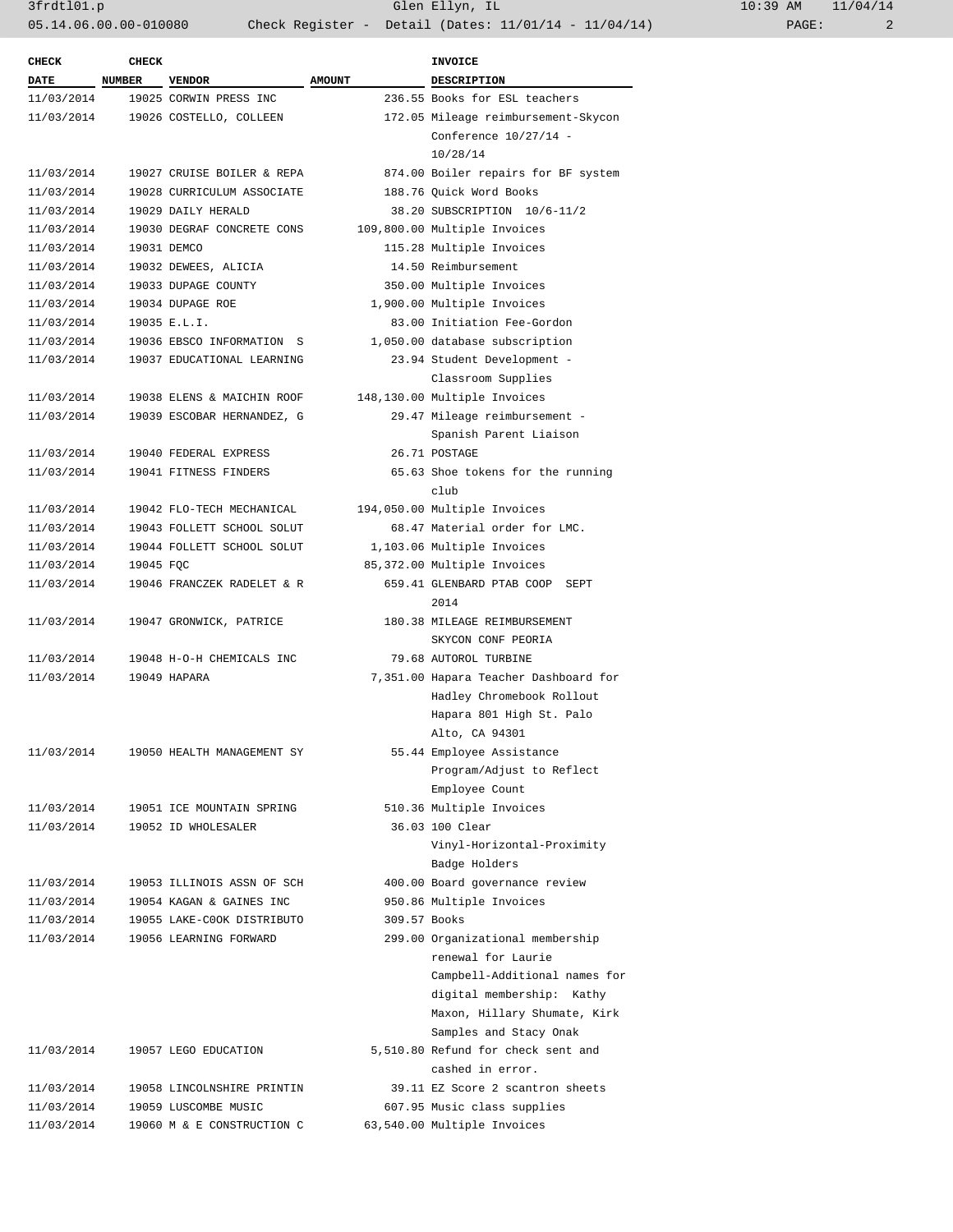| $10:39$ AM |       | 11/04/14 |
|------------|-------|----------|
|            | PAGE: | 2        |

| <b>AMOUNT</b><br>DESCRIPTION<br><b>DATE</b><br><b>NUMBER</b><br><b>VENDOR</b><br>11/03/2014<br>19025 CORWIN PRESS INC<br>236.55 Books for ESL teachers<br>11/03/2014<br>19026 COSTELLO, COLLEEN<br>172.05 Mileage reimbursement-Skycon<br>Conference 10/27/14 -<br>10/28/14<br>11/03/2014<br>19027 CRUISE BOILER & REPA<br>874.00 Boiler repairs for BF system<br>11/03/2014<br>19028 CURRICULUM ASSOCIATE<br>188.76 Quick Word Books<br>11/03/2014<br>19029 DAILY HERALD<br>38.20 SUBSCRIPTION 10/6-11/2<br>11/03/2014<br>19030 DEGRAF CONCRETE CONS<br>109,800.00 Multiple Invoices<br>11/03/2014<br>19031 DEMCO<br>115.28 Multiple Invoices<br>11/03/2014<br>19032 DEWEES, ALICIA<br>14.50 Reimbursement<br>11/03/2014<br>19033 DUPAGE COUNTY<br>350.00 Multiple Invoices<br>11/03/2014<br>19034 DUPAGE ROE<br>1,900.00 Multiple Invoices<br>11/03/2014<br>19035 E.L.I.<br>83.00 Initiation Fee-Gordon<br>11/03/2014<br>19036 EBSCO INFORMATION S<br>1,050.00 database subscription<br>11/03/2014<br>19037 EDUCATIONAL LEARNING<br>23.94 Student Development -<br>Classroom Supplies<br>11/03/2014<br>19038 ELENS & MAICHIN ROOF<br>148,130.00 Multiple Invoices<br>11/03/2014<br>19039 ESCOBAR HERNANDEZ, G<br>29.47 Mileage reimbursement -<br>Spanish Parent Liaison<br>11/03/2014<br>19040 FEDERAL EXPRESS<br>26.71 POSTAGE<br>11/03/2014<br>19041 FITNESS FINDERS<br>65.63 Shoe tokens for the running<br>club<br>11/03/2014<br>19042 FLO-TECH MECHANICAL<br>194,050.00 Multiple Invoices<br>68.47 Material order for LMC.<br>11/03/2014<br>19043 FOLLETT SCHOOL SOLUT<br>11/03/2014<br>19044 FOLLETT SCHOOL SOLUT<br>1,103.06 Multiple Invoices<br>11/03/2014<br>19045 FQC<br>85,372.00 Multiple Invoices<br>11/03/2014<br>19046 FRANCZEK RADELET & R<br>659.41 GLENBARD PTAB COOP<br>SEPT<br>2014<br>11/03/2014<br>19047 GRONWICK, PATRICE<br>180.38 MILEAGE REIMBURSEMENT<br>SKYCON CONF PEORIA<br>11/03/2014<br>19048 H-O-H CHEMICALS INC<br>79.68 AUTOROL TURBINE<br>11/03/2014<br>19049 HAPARA<br>7,351.00 Hapara Teacher Dashboard for<br>Hadley Chromebook Rollout<br>Hapara 801 High St. Palo<br>Alto, CA 94301<br>55.44 Employee Assistance<br>11/03/2014<br>19050 HEALTH MANAGEMENT SY<br>Program/Adjust to Reflect<br>Employee Count<br>510.36 Multiple Invoices<br>11/03/2014<br>19051 ICE MOUNTAIN SPRING<br>11/03/2014<br>36.03 100 Clear<br>19052 ID WHOLESALER<br>Vinyl-Horizontal-Proximity<br>Badge Holders<br>400.00 Board governance review<br>11/03/2014<br>19053 ILLINOIS ASSN OF SCH<br>950.86 Multiple Invoices<br>11/03/2014<br>19054 KAGAN & GAINES INC<br>19055 LAKE-COOK DISTRIBUTO<br>309.57 Books<br>11/03/2014<br>11/03/2014<br>19056 LEARNING FORWARD<br>299.00 Organizational membership<br>renewal for Laurie<br>Campbell-Additional names for<br>digital membership: Kathy<br>Maxon, Hillary Shumate, Kirk<br>Samples and Stacy Onak<br>5,510.80 Refund for check sent and<br>11/03/2014<br>19057 LEGO EDUCATION<br>cashed in error.<br>11/03/2014<br>19058 LINCOLNSHIRE PRINTIN<br>39.11 EZ Score 2 scantron sheets<br>11/03/2014<br>19059 LUSCOMBE MUSIC<br>607.95 Music class supplies<br>11/03/2014<br>63,540.00 Multiple Invoices<br>19060 M & E CONSTRUCTION C | <b>CHECK</b> | <b>CHECK</b> |  | <b>INVOICE</b> |
|------------------------------------------------------------------------------------------------------------------------------------------------------------------------------------------------------------------------------------------------------------------------------------------------------------------------------------------------------------------------------------------------------------------------------------------------------------------------------------------------------------------------------------------------------------------------------------------------------------------------------------------------------------------------------------------------------------------------------------------------------------------------------------------------------------------------------------------------------------------------------------------------------------------------------------------------------------------------------------------------------------------------------------------------------------------------------------------------------------------------------------------------------------------------------------------------------------------------------------------------------------------------------------------------------------------------------------------------------------------------------------------------------------------------------------------------------------------------------------------------------------------------------------------------------------------------------------------------------------------------------------------------------------------------------------------------------------------------------------------------------------------------------------------------------------------------------------------------------------------------------------------------------------------------------------------------------------------------------------------------------------------------------------------------------------------------------------------------------------------------------------------------------------------------------------------------------------------------------------------------------------------------------------------------------------------------------------------------------------------------------------------------------------------------------------------------------------------------------------------------------------------------------------------------------------------------------------------------------------------------------------------------------------------------------------------------------------------------------------------------------------------------------------------------------------------------------------------------------------------------------------------------------------------------------------------------------------------------------------------------------------------------------------------------------------------------------------------------------------------------------------------------------------------------------------------------------------------|--------------|--------------|--|----------------|
|                                                                                                                                                                                                                                                                                                                                                                                                                                                                                                                                                                                                                                                                                                                                                                                                                                                                                                                                                                                                                                                                                                                                                                                                                                                                                                                                                                                                                                                                                                                                                                                                                                                                                                                                                                                                                                                                                                                                                                                                                                                                                                                                                                                                                                                                                                                                                                                                                                                                                                                                                                                                                                                                                                                                                                                                                                                                                                                                                                                                                                                                                                                                                                                                                  |              |              |  |                |
|                                                                                                                                                                                                                                                                                                                                                                                                                                                                                                                                                                                                                                                                                                                                                                                                                                                                                                                                                                                                                                                                                                                                                                                                                                                                                                                                                                                                                                                                                                                                                                                                                                                                                                                                                                                                                                                                                                                                                                                                                                                                                                                                                                                                                                                                                                                                                                                                                                                                                                                                                                                                                                                                                                                                                                                                                                                                                                                                                                                                                                                                                                                                                                                                                  |              |              |  |                |
|                                                                                                                                                                                                                                                                                                                                                                                                                                                                                                                                                                                                                                                                                                                                                                                                                                                                                                                                                                                                                                                                                                                                                                                                                                                                                                                                                                                                                                                                                                                                                                                                                                                                                                                                                                                                                                                                                                                                                                                                                                                                                                                                                                                                                                                                                                                                                                                                                                                                                                                                                                                                                                                                                                                                                                                                                                                                                                                                                                                                                                                                                                                                                                                                                  |              |              |  |                |
|                                                                                                                                                                                                                                                                                                                                                                                                                                                                                                                                                                                                                                                                                                                                                                                                                                                                                                                                                                                                                                                                                                                                                                                                                                                                                                                                                                                                                                                                                                                                                                                                                                                                                                                                                                                                                                                                                                                                                                                                                                                                                                                                                                                                                                                                                                                                                                                                                                                                                                                                                                                                                                                                                                                                                                                                                                                                                                                                                                                                                                                                                                                                                                                                                  |              |              |  |                |
|                                                                                                                                                                                                                                                                                                                                                                                                                                                                                                                                                                                                                                                                                                                                                                                                                                                                                                                                                                                                                                                                                                                                                                                                                                                                                                                                                                                                                                                                                                                                                                                                                                                                                                                                                                                                                                                                                                                                                                                                                                                                                                                                                                                                                                                                                                                                                                                                                                                                                                                                                                                                                                                                                                                                                                                                                                                                                                                                                                                                                                                                                                                                                                                                                  |              |              |  |                |
|                                                                                                                                                                                                                                                                                                                                                                                                                                                                                                                                                                                                                                                                                                                                                                                                                                                                                                                                                                                                                                                                                                                                                                                                                                                                                                                                                                                                                                                                                                                                                                                                                                                                                                                                                                                                                                                                                                                                                                                                                                                                                                                                                                                                                                                                                                                                                                                                                                                                                                                                                                                                                                                                                                                                                                                                                                                                                                                                                                                                                                                                                                                                                                                                                  |              |              |  |                |
|                                                                                                                                                                                                                                                                                                                                                                                                                                                                                                                                                                                                                                                                                                                                                                                                                                                                                                                                                                                                                                                                                                                                                                                                                                                                                                                                                                                                                                                                                                                                                                                                                                                                                                                                                                                                                                                                                                                                                                                                                                                                                                                                                                                                                                                                                                                                                                                                                                                                                                                                                                                                                                                                                                                                                                                                                                                                                                                                                                                                                                                                                                                                                                                                                  |              |              |  |                |
|                                                                                                                                                                                                                                                                                                                                                                                                                                                                                                                                                                                                                                                                                                                                                                                                                                                                                                                                                                                                                                                                                                                                                                                                                                                                                                                                                                                                                                                                                                                                                                                                                                                                                                                                                                                                                                                                                                                                                                                                                                                                                                                                                                                                                                                                                                                                                                                                                                                                                                                                                                                                                                                                                                                                                                                                                                                                                                                                                                                                                                                                                                                                                                                                                  |              |              |  |                |
|                                                                                                                                                                                                                                                                                                                                                                                                                                                                                                                                                                                                                                                                                                                                                                                                                                                                                                                                                                                                                                                                                                                                                                                                                                                                                                                                                                                                                                                                                                                                                                                                                                                                                                                                                                                                                                                                                                                                                                                                                                                                                                                                                                                                                                                                                                                                                                                                                                                                                                                                                                                                                                                                                                                                                                                                                                                                                                                                                                                                                                                                                                                                                                                                                  |              |              |  |                |
|                                                                                                                                                                                                                                                                                                                                                                                                                                                                                                                                                                                                                                                                                                                                                                                                                                                                                                                                                                                                                                                                                                                                                                                                                                                                                                                                                                                                                                                                                                                                                                                                                                                                                                                                                                                                                                                                                                                                                                                                                                                                                                                                                                                                                                                                                                                                                                                                                                                                                                                                                                                                                                                                                                                                                                                                                                                                                                                                                                                                                                                                                                                                                                                                                  |              |              |  |                |
|                                                                                                                                                                                                                                                                                                                                                                                                                                                                                                                                                                                                                                                                                                                                                                                                                                                                                                                                                                                                                                                                                                                                                                                                                                                                                                                                                                                                                                                                                                                                                                                                                                                                                                                                                                                                                                                                                                                                                                                                                                                                                                                                                                                                                                                                                                                                                                                                                                                                                                                                                                                                                                                                                                                                                                                                                                                                                                                                                                                                                                                                                                                                                                                                                  |              |              |  |                |
|                                                                                                                                                                                                                                                                                                                                                                                                                                                                                                                                                                                                                                                                                                                                                                                                                                                                                                                                                                                                                                                                                                                                                                                                                                                                                                                                                                                                                                                                                                                                                                                                                                                                                                                                                                                                                                                                                                                                                                                                                                                                                                                                                                                                                                                                                                                                                                                                                                                                                                                                                                                                                                                                                                                                                                                                                                                                                                                                                                                                                                                                                                                                                                                                                  |              |              |  |                |
|                                                                                                                                                                                                                                                                                                                                                                                                                                                                                                                                                                                                                                                                                                                                                                                                                                                                                                                                                                                                                                                                                                                                                                                                                                                                                                                                                                                                                                                                                                                                                                                                                                                                                                                                                                                                                                                                                                                                                                                                                                                                                                                                                                                                                                                                                                                                                                                                                                                                                                                                                                                                                                                                                                                                                                                                                                                                                                                                                                                                                                                                                                                                                                                                                  |              |              |  |                |
|                                                                                                                                                                                                                                                                                                                                                                                                                                                                                                                                                                                                                                                                                                                                                                                                                                                                                                                                                                                                                                                                                                                                                                                                                                                                                                                                                                                                                                                                                                                                                                                                                                                                                                                                                                                                                                                                                                                                                                                                                                                                                                                                                                                                                                                                                                                                                                                                                                                                                                                                                                                                                                                                                                                                                                                                                                                                                                                                                                                                                                                                                                                                                                                                                  |              |              |  |                |
|                                                                                                                                                                                                                                                                                                                                                                                                                                                                                                                                                                                                                                                                                                                                                                                                                                                                                                                                                                                                                                                                                                                                                                                                                                                                                                                                                                                                                                                                                                                                                                                                                                                                                                                                                                                                                                                                                                                                                                                                                                                                                                                                                                                                                                                                                                                                                                                                                                                                                                                                                                                                                                                                                                                                                                                                                                                                                                                                                                                                                                                                                                                                                                                                                  |              |              |  |                |
|                                                                                                                                                                                                                                                                                                                                                                                                                                                                                                                                                                                                                                                                                                                                                                                                                                                                                                                                                                                                                                                                                                                                                                                                                                                                                                                                                                                                                                                                                                                                                                                                                                                                                                                                                                                                                                                                                                                                                                                                                                                                                                                                                                                                                                                                                                                                                                                                                                                                                                                                                                                                                                                                                                                                                                                                                                                                                                                                                                                                                                                                                                                                                                                                                  |              |              |  |                |
|                                                                                                                                                                                                                                                                                                                                                                                                                                                                                                                                                                                                                                                                                                                                                                                                                                                                                                                                                                                                                                                                                                                                                                                                                                                                                                                                                                                                                                                                                                                                                                                                                                                                                                                                                                                                                                                                                                                                                                                                                                                                                                                                                                                                                                                                                                                                                                                                                                                                                                                                                                                                                                                                                                                                                                                                                                                                                                                                                                                                                                                                                                                                                                                                                  |              |              |  |                |
|                                                                                                                                                                                                                                                                                                                                                                                                                                                                                                                                                                                                                                                                                                                                                                                                                                                                                                                                                                                                                                                                                                                                                                                                                                                                                                                                                                                                                                                                                                                                                                                                                                                                                                                                                                                                                                                                                                                                                                                                                                                                                                                                                                                                                                                                                                                                                                                                                                                                                                                                                                                                                                                                                                                                                                                                                                                                                                                                                                                                                                                                                                                                                                                                                  |              |              |  |                |
|                                                                                                                                                                                                                                                                                                                                                                                                                                                                                                                                                                                                                                                                                                                                                                                                                                                                                                                                                                                                                                                                                                                                                                                                                                                                                                                                                                                                                                                                                                                                                                                                                                                                                                                                                                                                                                                                                                                                                                                                                                                                                                                                                                                                                                                                                                                                                                                                                                                                                                                                                                                                                                                                                                                                                                                                                                                                                                                                                                                                                                                                                                                                                                                                                  |              |              |  |                |
|                                                                                                                                                                                                                                                                                                                                                                                                                                                                                                                                                                                                                                                                                                                                                                                                                                                                                                                                                                                                                                                                                                                                                                                                                                                                                                                                                                                                                                                                                                                                                                                                                                                                                                                                                                                                                                                                                                                                                                                                                                                                                                                                                                                                                                                                                                                                                                                                                                                                                                                                                                                                                                                                                                                                                                                                                                                                                                                                                                                                                                                                                                                                                                                                                  |              |              |  |                |
|                                                                                                                                                                                                                                                                                                                                                                                                                                                                                                                                                                                                                                                                                                                                                                                                                                                                                                                                                                                                                                                                                                                                                                                                                                                                                                                                                                                                                                                                                                                                                                                                                                                                                                                                                                                                                                                                                                                                                                                                                                                                                                                                                                                                                                                                                                                                                                                                                                                                                                                                                                                                                                                                                                                                                                                                                                                                                                                                                                                                                                                                                                                                                                                                                  |              |              |  |                |
|                                                                                                                                                                                                                                                                                                                                                                                                                                                                                                                                                                                                                                                                                                                                                                                                                                                                                                                                                                                                                                                                                                                                                                                                                                                                                                                                                                                                                                                                                                                                                                                                                                                                                                                                                                                                                                                                                                                                                                                                                                                                                                                                                                                                                                                                                                                                                                                                                                                                                                                                                                                                                                                                                                                                                                                                                                                                                                                                                                                                                                                                                                                                                                                                                  |              |              |  |                |
|                                                                                                                                                                                                                                                                                                                                                                                                                                                                                                                                                                                                                                                                                                                                                                                                                                                                                                                                                                                                                                                                                                                                                                                                                                                                                                                                                                                                                                                                                                                                                                                                                                                                                                                                                                                                                                                                                                                                                                                                                                                                                                                                                                                                                                                                                                                                                                                                                                                                                                                                                                                                                                                                                                                                                                                                                                                                                                                                                                                                                                                                                                                                                                                                                  |              |              |  |                |
|                                                                                                                                                                                                                                                                                                                                                                                                                                                                                                                                                                                                                                                                                                                                                                                                                                                                                                                                                                                                                                                                                                                                                                                                                                                                                                                                                                                                                                                                                                                                                                                                                                                                                                                                                                                                                                                                                                                                                                                                                                                                                                                                                                                                                                                                                                                                                                                                                                                                                                                                                                                                                                                                                                                                                                                                                                                                                                                                                                                                                                                                                                                                                                                                                  |              |              |  |                |
|                                                                                                                                                                                                                                                                                                                                                                                                                                                                                                                                                                                                                                                                                                                                                                                                                                                                                                                                                                                                                                                                                                                                                                                                                                                                                                                                                                                                                                                                                                                                                                                                                                                                                                                                                                                                                                                                                                                                                                                                                                                                                                                                                                                                                                                                                                                                                                                                                                                                                                                                                                                                                                                                                                                                                                                                                                                                                                                                                                                                                                                                                                                                                                                                                  |              |              |  |                |
|                                                                                                                                                                                                                                                                                                                                                                                                                                                                                                                                                                                                                                                                                                                                                                                                                                                                                                                                                                                                                                                                                                                                                                                                                                                                                                                                                                                                                                                                                                                                                                                                                                                                                                                                                                                                                                                                                                                                                                                                                                                                                                                                                                                                                                                                                                                                                                                                                                                                                                                                                                                                                                                                                                                                                                                                                                                                                                                                                                                                                                                                                                                                                                                                                  |              |              |  |                |
|                                                                                                                                                                                                                                                                                                                                                                                                                                                                                                                                                                                                                                                                                                                                                                                                                                                                                                                                                                                                                                                                                                                                                                                                                                                                                                                                                                                                                                                                                                                                                                                                                                                                                                                                                                                                                                                                                                                                                                                                                                                                                                                                                                                                                                                                                                                                                                                                                                                                                                                                                                                                                                                                                                                                                                                                                                                                                                                                                                                                                                                                                                                                                                                                                  |              |              |  |                |
|                                                                                                                                                                                                                                                                                                                                                                                                                                                                                                                                                                                                                                                                                                                                                                                                                                                                                                                                                                                                                                                                                                                                                                                                                                                                                                                                                                                                                                                                                                                                                                                                                                                                                                                                                                                                                                                                                                                                                                                                                                                                                                                                                                                                                                                                                                                                                                                                                                                                                                                                                                                                                                                                                                                                                                                                                                                                                                                                                                                                                                                                                                                                                                                                                  |              |              |  |                |
|                                                                                                                                                                                                                                                                                                                                                                                                                                                                                                                                                                                                                                                                                                                                                                                                                                                                                                                                                                                                                                                                                                                                                                                                                                                                                                                                                                                                                                                                                                                                                                                                                                                                                                                                                                                                                                                                                                                                                                                                                                                                                                                                                                                                                                                                                                                                                                                                                                                                                                                                                                                                                                                                                                                                                                                                                                                                                                                                                                                                                                                                                                                                                                                                                  |              |              |  |                |
|                                                                                                                                                                                                                                                                                                                                                                                                                                                                                                                                                                                                                                                                                                                                                                                                                                                                                                                                                                                                                                                                                                                                                                                                                                                                                                                                                                                                                                                                                                                                                                                                                                                                                                                                                                                                                                                                                                                                                                                                                                                                                                                                                                                                                                                                                                                                                                                                                                                                                                                                                                                                                                                                                                                                                                                                                                                                                                                                                                                                                                                                                                                                                                                                                  |              |              |  |                |
|                                                                                                                                                                                                                                                                                                                                                                                                                                                                                                                                                                                                                                                                                                                                                                                                                                                                                                                                                                                                                                                                                                                                                                                                                                                                                                                                                                                                                                                                                                                                                                                                                                                                                                                                                                                                                                                                                                                                                                                                                                                                                                                                                                                                                                                                                                                                                                                                                                                                                                                                                                                                                                                                                                                                                                                                                                                                                                                                                                                                                                                                                                                                                                                                                  |              |              |  |                |
|                                                                                                                                                                                                                                                                                                                                                                                                                                                                                                                                                                                                                                                                                                                                                                                                                                                                                                                                                                                                                                                                                                                                                                                                                                                                                                                                                                                                                                                                                                                                                                                                                                                                                                                                                                                                                                                                                                                                                                                                                                                                                                                                                                                                                                                                                                                                                                                                                                                                                                                                                                                                                                                                                                                                                                                                                                                                                                                                                                                                                                                                                                                                                                                                                  |              |              |  |                |
|                                                                                                                                                                                                                                                                                                                                                                                                                                                                                                                                                                                                                                                                                                                                                                                                                                                                                                                                                                                                                                                                                                                                                                                                                                                                                                                                                                                                                                                                                                                                                                                                                                                                                                                                                                                                                                                                                                                                                                                                                                                                                                                                                                                                                                                                                                                                                                                                                                                                                                                                                                                                                                                                                                                                                                                                                                                                                                                                                                                                                                                                                                                                                                                                                  |              |              |  |                |
|                                                                                                                                                                                                                                                                                                                                                                                                                                                                                                                                                                                                                                                                                                                                                                                                                                                                                                                                                                                                                                                                                                                                                                                                                                                                                                                                                                                                                                                                                                                                                                                                                                                                                                                                                                                                                                                                                                                                                                                                                                                                                                                                                                                                                                                                                                                                                                                                                                                                                                                                                                                                                                                                                                                                                                                                                                                                                                                                                                                                                                                                                                                                                                                                                  |              |              |  |                |
|                                                                                                                                                                                                                                                                                                                                                                                                                                                                                                                                                                                                                                                                                                                                                                                                                                                                                                                                                                                                                                                                                                                                                                                                                                                                                                                                                                                                                                                                                                                                                                                                                                                                                                                                                                                                                                                                                                                                                                                                                                                                                                                                                                                                                                                                                                                                                                                                                                                                                                                                                                                                                                                                                                                                                                                                                                                                                                                                                                                                                                                                                                                                                                                                                  |              |              |  |                |
|                                                                                                                                                                                                                                                                                                                                                                                                                                                                                                                                                                                                                                                                                                                                                                                                                                                                                                                                                                                                                                                                                                                                                                                                                                                                                                                                                                                                                                                                                                                                                                                                                                                                                                                                                                                                                                                                                                                                                                                                                                                                                                                                                                                                                                                                                                                                                                                                                                                                                                                                                                                                                                                                                                                                                                                                                                                                                                                                                                                                                                                                                                                                                                                                                  |              |              |  |                |
|                                                                                                                                                                                                                                                                                                                                                                                                                                                                                                                                                                                                                                                                                                                                                                                                                                                                                                                                                                                                                                                                                                                                                                                                                                                                                                                                                                                                                                                                                                                                                                                                                                                                                                                                                                                                                                                                                                                                                                                                                                                                                                                                                                                                                                                                                                                                                                                                                                                                                                                                                                                                                                                                                                                                                                                                                                                                                                                                                                                                                                                                                                                                                                                                                  |              |              |  |                |
|                                                                                                                                                                                                                                                                                                                                                                                                                                                                                                                                                                                                                                                                                                                                                                                                                                                                                                                                                                                                                                                                                                                                                                                                                                                                                                                                                                                                                                                                                                                                                                                                                                                                                                                                                                                                                                                                                                                                                                                                                                                                                                                                                                                                                                                                                                                                                                                                                                                                                                                                                                                                                                                                                                                                                                                                                                                                                                                                                                                                                                                                                                                                                                                                                  |              |              |  |                |
|                                                                                                                                                                                                                                                                                                                                                                                                                                                                                                                                                                                                                                                                                                                                                                                                                                                                                                                                                                                                                                                                                                                                                                                                                                                                                                                                                                                                                                                                                                                                                                                                                                                                                                                                                                                                                                                                                                                                                                                                                                                                                                                                                                                                                                                                                                                                                                                                                                                                                                                                                                                                                                                                                                                                                                                                                                                                                                                                                                                                                                                                                                                                                                                                                  |              |              |  |                |
|                                                                                                                                                                                                                                                                                                                                                                                                                                                                                                                                                                                                                                                                                                                                                                                                                                                                                                                                                                                                                                                                                                                                                                                                                                                                                                                                                                                                                                                                                                                                                                                                                                                                                                                                                                                                                                                                                                                                                                                                                                                                                                                                                                                                                                                                                                                                                                                                                                                                                                                                                                                                                                                                                                                                                                                                                                                                                                                                                                                                                                                                                                                                                                                                                  |              |              |  |                |
|                                                                                                                                                                                                                                                                                                                                                                                                                                                                                                                                                                                                                                                                                                                                                                                                                                                                                                                                                                                                                                                                                                                                                                                                                                                                                                                                                                                                                                                                                                                                                                                                                                                                                                                                                                                                                                                                                                                                                                                                                                                                                                                                                                                                                                                                                                                                                                                                                                                                                                                                                                                                                                                                                                                                                                                                                                                                                                                                                                                                                                                                                                                                                                                                                  |              |              |  |                |
|                                                                                                                                                                                                                                                                                                                                                                                                                                                                                                                                                                                                                                                                                                                                                                                                                                                                                                                                                                                                                                                                                                                                                                                                                                                                                                                                                                                                                                                                                                                                                                                                                                                                                                                                                                                                                                                                                                                                                                                                                                                                                                                                                                                                                                                                                                                                                                                                                                                                                                                                                                                                                                                                                                                                                                                                                                                                                                                                                                                                                                                                                                                                                                                                                  |              |              |  |                |
|                                                                                                                                                                                                                                                                                                                                                                                                                                                                                                                                                                                                                                                                                                                                                                                                                                                                                                                                                                                                                                                                                                                                                                                                                                                                                                                                                                                                                                                                                                                                                                                                                                                                                                                                                                                                                                                                                                                                                                                                                                                                                                                                                                                                                                                                                                                                                                                                                                                                                                                                                                                                                                                                                                                                                                                                                                                                                                                                                                                                                                                                                                                                                                                                                  |              |              |  |                |
|                                                                                                                                                                                                                                                                                                                                                                                                                                                                                                                                                                                                                                                                                                                                                                                                                                                                                                                                                                                                                                                                                                                                                                                                                                                                                                                                                                                                                                                                                                                                                                                                                                                                                                                                                                                                                                                                                                                                                                                                                                                                                                                                                                                                                                                                                                                                                                                                                                                                                                                                                                                                                                                                                                                                                                                                                                                                                                                                                                                                                                                                                                                                                                                                                  |              |              |  |                |
|                                                                                                                                                                                                                                                                                                                                                                                                                                                                                                                                                                                                                                                                                                                                                                                                                                                                                                                                                                                                                                                                                                                                                                                                                                                                                                                                                                                                                                                                                                                                                                                                                                                                                                                                                                                                                                                                                                                                                                                                                                                                                                                                                                                                                                                                                                                                                                                                                                                                                                                                                                                                                                                                                                                                                                                                                                                                                                                                                                                                                                                                                                                                                                                                                  |              |              |  |                |
|                                                                                                                                                                                                                                                                                                                                                                                                                                                                                                                                                                                                                                                                                                                                                                                                                                                                                                                                                                                                                                                                                                                                                                                                                                                                                                                                                                                                                                                                                                                                                                                                                                                                                                                                                                                                                                                                                                                                                                                                                                                                                                                                                                                                                                                                                                                                                                                                                                                                                                                                                                                                                                                                                                                                                                                                                                                                                                                                                                                                                                                                                                                                                                                                                  |              |              |  |                |
|                                                                                                                                                                                                                                                                                                                                                                                                                                                                                                                                                                                                                                                                                                                                                                                                                                                                                                                                                                                                                                                                                                                                                                                                                                                                                                                                                                                                                                                                                                                                                                                                                                                                                                                                                                                                                                                                                                                                                                                                                                                                                                                                                                                                                                                                                                                                                                                                                                                                                                                                                                                                                                                                                                                                                                                                                                                                                                                                                                                                                                                                                                                                                                                                                  |              |              |  |                |
|                                                                                                                                                                                                                                                                                                                                                                                                                                                                                                                                                                                                                                                                                                                                                                                                                                                                                                                                                                                                                                                                                                                                                                                                                                                                                                                                                                                                                                                                                                                                                                                                                                                                                                                                                                                                                                                                                                                                                                                                                                                                                                                                                                                                                                                                                                                                                                                                                                                                                                                                                                                                                                                                                                                                                                                                                                                                                                                                                                                                                                                                                                                                                                                                                  |              |              |  |                |
|                                                                                                                                                                                                                                                                                                                                                                                                                                                                                                                                                                                                                                                                                                                                                                                                                                                                                                                                                                                                                                                                                                                                                                                                                                                                                                                                                                                                                                                                                                                                                                                                                                                                                                                                                                                                                                                                                                                                                                                                                                                                                                                                                                                                                                                                                                                                                                                                                                                                                                                                                                                                                                                                                                                                                                                                                                                                                                                                                                                                                                                                                                                                                                                                                  |              |              |  |                |
|                                                                                                                                                                                                                                                                                                                                                                                                                                                                                                                                                                                                                                                                                                                                                                                                                                                                                                                                                                                                                                                                                                                                                                                                                                                                                                                                                                                                                                                                                                                                                                                                                                                                                                                                                                                                                                                                                                                                                                                                                                                                                                                                                                                                                                                                                                                                                                                                                                                                                                                                                                                                                                                                                                                                                                                                                                                                                                                                                                                                                                                                                                                                                                                                                  |              |              |  |                |
|                                                                                                                                                                                                                                                                                                                                                                                                                                                                                                                                                                                                                                                                                                                                                                                                                                                                                                                                                                                                                                                                                                                                                                                                                                                                                                                                                                                                                                                                                                                                                                                                                                                                                                                                                                                                                                                                                                                                                                                                                                                                                                                                                                                                                                                                                                                                                                                                                                                                                                                                                                                                                                                                                                                                                                                                                                                                                                                                                                                                                                                                                                                                                                                                                  |              |              |  |                |
|                                                                                                                                                                                                                                                                                                                                                                                                                                                                                                                                                                                                                                                                                                                                                                                                                                                                                                                                                                                                                                                                                                                                                                                                                                                                                                                                                                                                                                                                                                                                                                                                                                                                                                                                                                                                                                                                                                                                                                                                                                                                                                                                                                                                                                                                                                                                                                                                                                                                                                                                                                                                                                                                                                                                                                                                                                                                                                                                                                                                                                                                                                                                                                                                                  |              |              |  |                |
|                                                                                                                                                                                                                                                                                                                                                                                                                                                                                                                                                                                                                                                                                                                                                                                                                                                                                                                                                                                                                                                                                                                                                                                                                                                                                                                                                                                                                                                                                                                                                                                                                                                                                                                                                                                                                                                                                                                                                                                                                                                                                                                                                                                                                                                                                                                                                                                                                                                                                                                                                                                                                                                                                                                                                                                                                                                                                                                                                                                                                                                                                                                                                                                                                  |              |              |  |                |
|                                                                                                                                                                                                                                                                                                                                                                                                                                                                                                                                                                                                                                                                                                                                                                                                                                                                                                                                                                                                                                                                                                                                                                                                                                                                                                                                                                                                                                                                                                                                                                                                                                                                                                                                                                                                                                                                                                                                                                                                                                                                                                                                                                                                                                                                                                                                                                                                                                                                                                                                                                                                                                                                                                                                                                                                                                                                                                                                                                                                                                                                                                                                                                                                                  |              |              |  |                |
|                                                                                                                                                                                                                                                                                                                                                                                                                                                                                                                                                                                                                                                                                                                                                                                                                                                                                                                                                                                                                                                                                                                                                                                                                                                                                                                                                                                                                                                                                                                                                                                                                                                                                                                                                                                                                                                                                                                                                                                                                                                                                                                                                                                                                                                                                                                                                                                                                                                                                                                                                                                                                                                                                                                                                                                                                                                                                                                                                                                                                                                                                                                                                                                                                  |              |              |  |                |
|                                                                                                                                                                                                                                                                                                                                                                                                                                                                                                                                                                                                                                                                                                                                                                                                                                                                                                                                                                                                                                                                                                                                                                                                                                                                                                                                                                                                                                                                                                                                                                                                                                                                                                                                                                                                                                                                                                                                                                                                                                                                                                                                                                                                                                                                                                                                                                                                                                                                                                                                                                                                                                                                                                                                                                                                                                                                                                                                                                                                                                                                                                                                                                                                                  |              |              |  |                |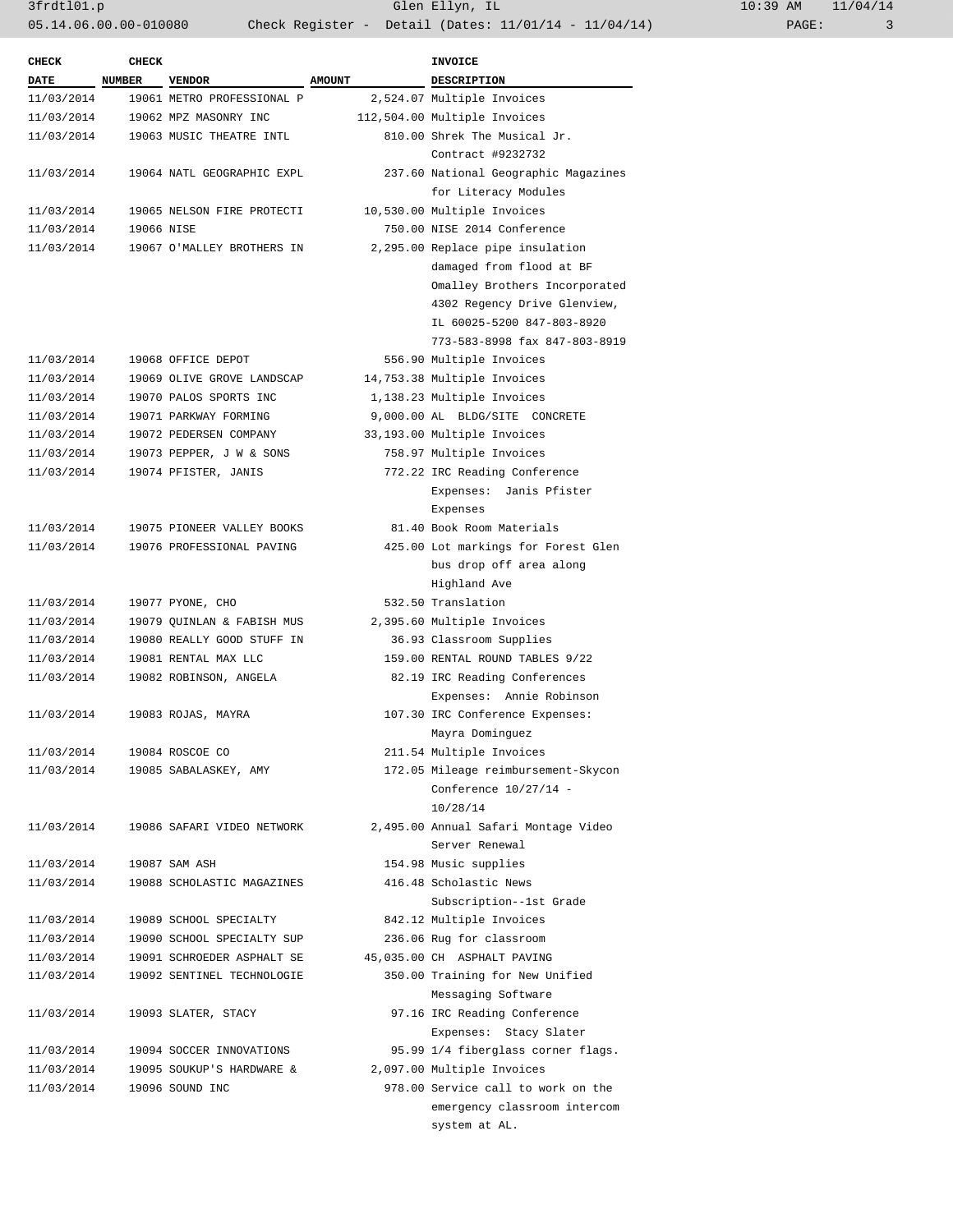| <b>CHECK</b> | <b>CHECK</b> |                            |               | <b>INVOICE</b>                       |  |
|--------------|--------------|----------------------------|---------------|--------------------------------------|--|
| <b>DATE</b>  | NUMBER       | <b>VENDOR</b>              | <b>AMOUNT</b> | DESCRIPTION                          |  |
| 11/03/2014   |              | 19061 METRO PROFESSIONAL P |               | 2,524.07 Multiple Invoices           |  |
| 11/03/2014   |              | 19062 MPZ MASONRY INC      |               | 112,504.00 Multiple Invoices         |  |
| 11/03/2014   |              | 19063 MUSIC THEATRE INTL   |               | 810.00 Shrek The Musical Jr.         |  |
|              |              |                            |               | Contract #9232732                    |  |
| 11/03/2014   |              | 19064 NATL GEOGRAPHIC EXPL |               | 237.60 National Geographic Magazines |  |
|              |              |                            |               | for Literacy Modules                 |  |
| 11/03/2014   |              | 19065 NELSON FIRE PROTECTI |               | 10,530.00 Multiple Invoices          |  |
| 11/03/2014   | 19066 NISE   |                            |               | 750.00 NISE 2014 Conference          |  |
| 11/03/2014   |              | 19067 O'MALLEY BROTHERS IN |               | 2,295.00 Replace pipe insulation     |  |
|              |              |                            |               | damaged from flood at BF             |  |
|              |              |                            |               | Omalley Brothers Incorporated        |  |
|              |              |                            |               | 4302 Regency Drive Glenview,         |  |
|              |              |                            |               | IL 60025-5200 847-803-8920           |  |
|              |              |                            |               | 773-583-8998 fax 847-803-8919        |  |
| 11/03/2014   |              | 19068 OFFICE DEPOT         |               | 556.90 Multiple Invoices             |  |
|              |              |                            |               |                                      |  |
| 11/03/2014   |              | 19069 OLIVE GROVE LANDSCAP |               | 14,753.38 Multiple Invoices          |  |
| 11/03/2014   |              | 19070 PALOS SPORTS INC     |               | 1,138.23 Multiple Invoices           |  |
| 11/03/2014   |              | 19071 PARKWAY FORMING      |               | 9,000.00 AL BLDG/SITE CONCRETE       |  |
| 11/03/2014   |              | 19072 PEDERSEN COMPANY     |               | 33,193.00 Multiple Invoices          |  |
| 11/03/2014   |              | 19073 PEPPER, J W & SONS   |               | 758.97 Multiple Invoices             |  |
| 11/03/2014   |              | 19074 PFISTER, JANIS       |               | 772.22 IRC Reading Conference        |  |
|              |              |                            |               | Expenses: Janis Pfister              |  |
|              |              |                            |               | Expenses                             |  |
| 11/03/2014   |              | 19075 PIONEER VALLEY BOOKS |               | 81.40 Book Room Materials            |  |
| 11/03/2014   |              | 19076 PROFESSIONAL PAVING  |               | 425.00 Lot markings for Forest Glen  |  |
|              |              |                            |               | bus drop off area along              |  |
|              |              |                            |               | Highland Ave                         |  |
| 11/03/2014   |              | 19077 PYONE, CHO           |               | 532.50 Translation                   |  |
| 11/03/2014   |              | 19079 QUINLAN & FABISH MUS |               | 2,395.60 Multiple Invoices           |  |
| 11/03/2014   |              | 19080 REALLY GOOD STUFF IN |               | 36.93 Classroom Supplies             |  |
| 11/03/2014   |              | 19081 RENTAL MAX LLC       |               | 159.00 RENTAL ROUND TABLES 9/22      |  |
| 11/03/2014   |              | 19082 ROBINSON, ANGELA     |               | 82.19 IRC Reading Conferences        |  |
|              |              |                            |               | Expenses: Annie Robinson             |  |
| 11/03/2014   |              | 19083 ROJAS, MAYRA         |               | 107.30 IRC Conference Expenses:      |  |
|              |              |                            |               | Mayra Dominguez                      |  |
| 11/03/2014   |              | 19084 ROSCOE CO            |               | 211.54 Multiple Invoices             |  |
| 11/03/2014   |              | 19085 SABALASKEY, AMY      |               | 172.05 Mileage reimbursement-Skycon  |  |
|              |              |                            |               | Conference 10/27/14 -                |  |
|              |              |                            |               | 10/28/14                             |  |
| 11/03/2014   |              | 19086 SAFARI VIDEO NETWORK |               | 2,495.00 Annual Safari Montage Video |  |
|              |              |                            |               | Server Renewal                       |  |
| 11/03/2014   |              | 19087 SAM ASH              |               | 154.98 Music supplies                |  |
| 11/03/2014   |              | 19088 SCHOLASTIC MAGAZINES |               | 416.48 Scholastic News               |  |
|              |              |                            |               | Subscription--1st Grade              |  |
| 11/03/2014   |              | 19089 SCHOOL SPECIALTY     |               | 842.12 Multiple Invoices             |  |
| 11/03/2014   |              | 19090 SCHOOL SPECIALTY SUP |               | 236.06 Rug for classroom             |  |
| 11/03/2014   |              | 19091 SCHROEDER ASPHALT SE |               | 45,035.00 CH ASPHALT PAVING          |  |
| 11/03/2014   |              | 19092 SENTINEL TECHNOLOGIE |               | 350.00 Training for New Unified      |  |
|              |              |                            |               | Messaging Software                   |  |
| 11/03/2014   |              | 19093 SLATER, STACY        |               | 97.16 IRC Reading Conference         |  |
|              |              |                            |               |                                      |  |
|              |              |                            |               | Expenses: Stacy Slater               |  |
| 11/03/2014   |              | 19094 SOCCER INNOVATIONS   |               | 95.99 1/4 fiberglass corner flags.   |  |
| 11/03/2014   |              | 19095 SOUKUP'S HARDWARE &  |               | 2,097.00 Multiple Invoices           |  |
| 11/03/2014   |              | 19096 SOUND INC            |               | 978.00 Service call to work on the   |  |
|              |              |                            |               | emergency classroom intercom         |  |
|              |              |                            |               | system at AL.                        |  |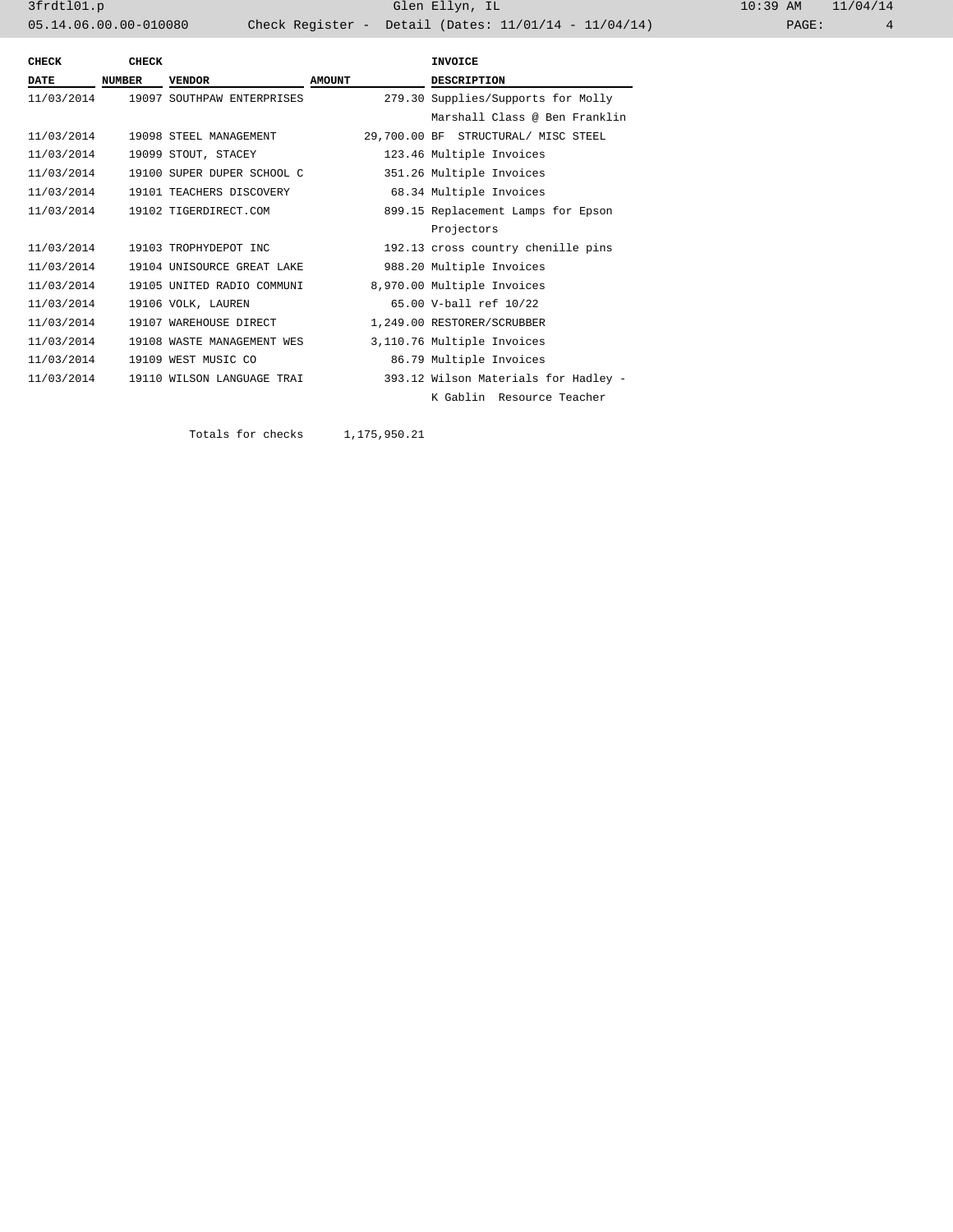3frdtl01.p Glen Ellyn, IL 10:39 AM 11/04/14 05.14.06.00.00-010080 Check Register - Detail (Dates: 11/01/14 - 11/04/14)

| CHECK       | <b>CHECK</b>                                    |                            |                                    | <b>INVOICE</b>                       |  |
|-------------|-------------------------------------------------|----------------------------|------------------------------------|--------------------------------------|--|
| <b>DATE</b> | <b>NUMBER</b><br><b>VENDOR</b><br><b>AMOUNT</b> |                            | <b>DESCRIPTION</b>                 |                                      |  |
| 11/03/2014  |                                                 | 19097 SOUTHPAW ENTERPRISES | 279.30 Supplies/Supports for Molly |                                      |  |
|             |                                                 |                            |                                    | Marshall Class @ Ben Franklin        |  |
| 11/03/2014  |                                                 | 19098 STEEL MANAGEMENT     |                                    | 29,700.00 BF STRUCTURAL/ MISC STEEL  |  |
| 11/03/2014  |                                                 | 19099 STOUT, STACEY        |                                    | 123.46 Multiple Invoices             |  |
| 11/03/2014  |                                                 | 19100 SUPER DUPER SCHOOL C |                                    | 351.26 Multiple Invoices             |  |
| 11/03/2014  |                                                 | 19101 TEACHERS DISCOVERY   |                                    | 68.34 Multiple Invoices              |  |
| 11/03/2014  |                                                 | 19102 TIGERDIRECT.COM      |                                    | 899.15 Replacement Lamps for Epson   |  |
|             |                                                 |                            |                                    | Projectors                           |  |
| 11/03/2014  |                                                 | 19103 TROPHYDEPOT INC      |                                    | 192.13 cross country chenille pins   |  |
| 11/03/2014  |                                                 | 19104 UNISOURCE GREAT LAKE |                                    | 988.20 Multiple Invoices             |  |
| 11/03/2014  |                                                 | 19105 UNITED RADIO COMMUNI |                                    | 8,970.00 Multiple Invoices           |  |
| 11/03/2014  |                                                 | 19106 VOLK, LAUREN         |                                    | 65.00 V-ball ref 10/22               |  |
| 11/03/2014  |                                                 | 19107 WAREHOUSE DIRECT     |                                    | 1,249.00 RESTORER/SCRUBBER           |  |
| 11/03/2014  |                                                 | 19108 WASTE MANAGEMENT WES |                                    | 3,110.76 Multiple Invoices           |  |
| 11/03/2014  |                                                 | 19109 WEST MUSIC CO        |                                    | 86.79 Multiple Invoices              |  |
| 11/03/2014  |                                                 | 19110 WILSON LANGUAGE TRAI |                                    | 393.12 Wilson Materials for Hadley - |  |
|             |                                                 |                            |                                    | K Gablin Resource Teacher            |  |

Totals for checks 1,175,950.21